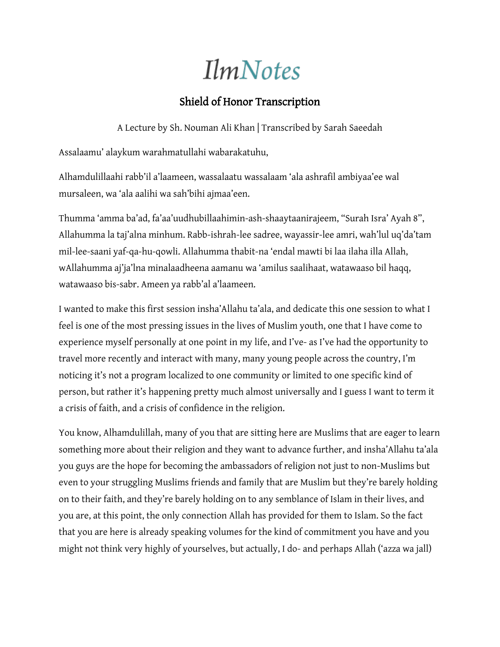**IlmNotes** 

## Shield of Honor Transcription

A Lecture by Sh. Nouman Ali Khan | Transcribed by Sarah Saeedah Assalaamu' alaykum warahmatullahi wabarakatuhu,

Alhamdulillaahi rabb'il a'laameen, wassalaatu wassalaam 'ala ashrafil ambiyaa'ee wal mursaleen, wa 'ala aalihi wa sah'bihi ajmaa'een.

Thumma 'amma ba'ad, fa'aa'uudhubillaahimin-ash-shaaytaanirajeem, "Surah Isra' Ayah 8", Allahumma la taj'alna minhum. Rabb-ishrah-lee sadree, wayassir-lee amri, wah'lul uq'da'tam mil-lee-saani yaf-qa-hu-qowli. Allahumma thabit-na 'endal mawti bi laa ilaha illa Allah, wAllahumma aj'ja'lna minalaadheena aamanu wa 'amilus saalihaat, watawaaso bil haqq, watawaaso bis-sabr. Ameen ya rabb'al a'laameen.

I wanted to make this first session insha'Allahu ta'ala, and dedicate this one session to what I feel is one of the most pressing issues in the lives of Muslim youth, one that I have come to experience myself personally at one point in my life, and I've- as I've had the opportunity to travel more recently and interact with many, many young people across the country, I'm noticing it's not a program localized to one community or limited to one specific kind of person, but rather it's happening pretty much almost universally and I guess I want to term it a crisis of faith, and a crisis of confidence in the religion.

You know, Alhamdulillah, many of you that are sitting here are Muslims that are eager to learn something more about their religion and they want to advance further, and insha'Allahu ta'ala you guys are the hope for becoming the ambassadors of religion not just to non-Muslims but even to your struggling Muslims friends and family that are Muslim but they're barely holding on to their faith, and they're barely holding on to any semblance of Islam in their lives, and you are, at this point, the only connection Allah has provided for them to Islam. So the fact that you are here is already speaking volumes for the kind of commitment you have and you might not think very highly of yourselves, but actually, I do- and perhaps Allah ('azza wa jall)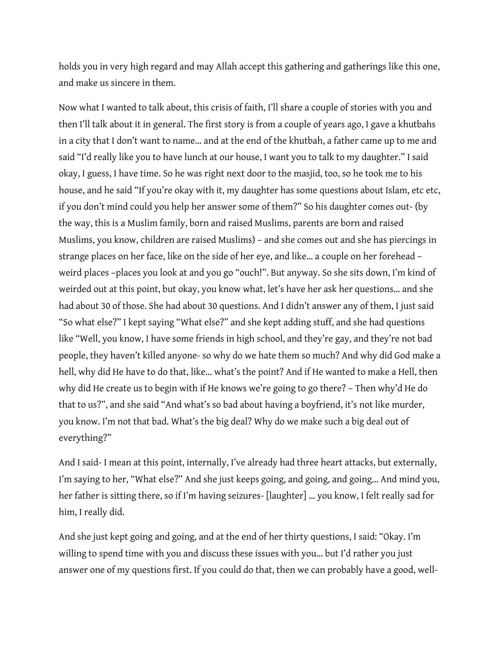holds you in very high regard and may Allah accept this gathering and gatherings like this one, and make us sincere in them.

Now what I wanted to talk about, this crisis of faith, I'll share a couple of stories with you and then I'll talk about it in general. The first story is from a couple of years ago, I gave a khutbahs in a city that I don't want to name… and at the end of the khutbah, a father came up to me and said "I'd really like you to have lunch at our house, I want you to talk to my daughter." I said okay, I guess, I have time. So he was right next door to the masjid, too, so he took me to his house, and he said "If you're okay with it, my daughter has some questions about Islam, etc etc, if you don't mind could you help her answer some of them?" So his daughter comes out- (by the way, this is a Muslim family, born and raised Muslims, parents are born and raised Muslims, you know, children are raised Muslims) – and she comes out and she has piercings in strange places on her face, like on the side of her eye, and like… a couple on her forehead – weird places –places you look at and you go "ouch!". But anyway. So she sits down, I'm kind of weirded out at this point, but okay, you know what, let's have her ask her questions… and she had about 30 of those. She had about 30 questions. And I didn't answer any of them, I just said "So what else?" I kept saying "What else?" and she kept adding stuff, and she had questions like "Well, you know, I have some friends in high school, and they're gay, and they're not bad people, they haven't killed anyone- so why do we hate them so much? And why did God make a hell, why did He have to do that, like… what's the point? And if He wanted to make a Hell, then why did He create us to begin with if He knows we're going to go there? – Then why'd He do that to us?", and she said "And what's so bad about having a boyfriend, it's not like murder, you know. I'm not that bad. What's the big deal? Why do we make such a big deal out of everything?"

And I said- I mean at this point, internally, I've already had three heart attacks, but externally, I'm saying to her, "What else?" And she just keeps going, and going, and going… And mind you, her father is sitting there, so if I'm having seizures- [laughter] … you know, I felt really sad for him, I really did.

And she just kept going and going, and at the end of her thirty questions, I said: "Okay. I'm willing to spend time with you and discuss these issues with you… but I'd rather you just answer one of my questions first. If you could do that, then we can probably have a good, well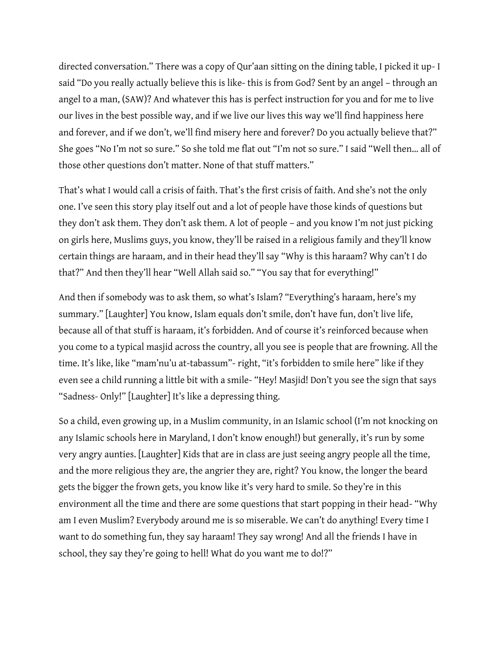directed conversation." There was a copy of Qur'aan sitting on the dining table, I picked it up- I said "Do you really actually believe this is like- this is from God? Sent by an angel – through an angel to a man, (SAW)? And whatever this has is perfect instruction for you and for me to live our lives in the best possible way, and if we live our lives this way we'll find happiness here and forever, and if we don't, we'll find misery here and forever? Do you actually believe that?" She goes "No I'm not so sure." So she told me flat out "I'm not so sure." I said "Well then… all of those other questions don't matter. None of that stuff matters."

That's what I would call a crisis of faith. That's the first crisis of faith. And she's not the only one. I've seen this story play itself out and a lot of people have those kinds of questions but they don't ask them. They don't ask them. A lot of people – and you know I'm not just picking on girls here, Muslims guys, you know, they'll be raised in a religious family and they'll know certain things are haraam, and in their head they'll say "Why is this haraam? Why can't I do that?" And then they'll hear "Well Allah said so." "You say that for everything!"

And then if somebody was to ask them, so what's Islam? "Everything's haraam, here's my summary." [Laughter] You know, Islam equals don't smile, don't have fun, don't live life, because all of that stuff is haraam, it's forbidden. And of course it's reinforced because when you come to a typical masjid across the country, all you see is people that are frowning. All the time. It's like, like "mam'nu'u at-tabassum"- right, "it's forbidden to smile here" like if they even see a child running a little bit with a smile- "Hey! Masjid! Don't you see the sign that says "Sadness- Only!" [Laughter] It's like a depressing thing.

So a child, even growing up, in a Muslim community, in an Islamic school (I'm not knocking on any Islamic schools here in Maryland, I don't know enough!) but generally, it's run by some very angry aunties. [Laughter] Kids that are in class are just seeing angry people all the time, and the more religious they are, the angrier they are, right? You know, the longer the beard gets the bigger the frown gets, you know like it's very hard to smile. So they're in this environment all the time and there are some questions that start popping in their head- "Why am I even Muslim? Everybody around me is so miserable. We can't do anything! Every time I want to do something fun, they say haraam! They say wrong! And all the friends I have in school, they say they're going to hell! What do you want me to do!?"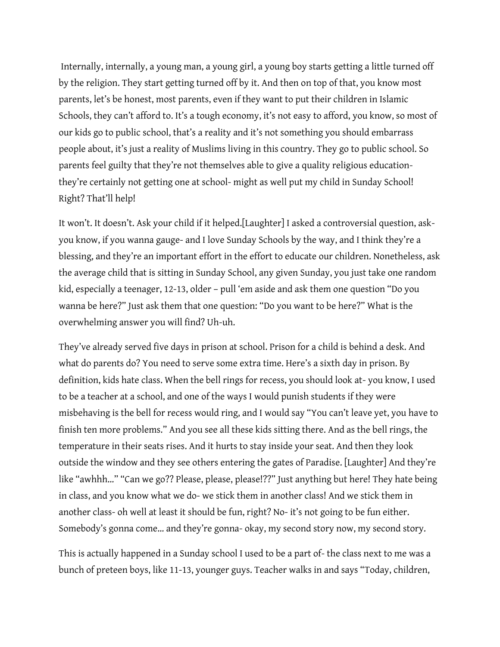Internally, internally, a young man, a young girl, a young boy starts getting a little turned off by the religion. They start getting turned off by it. And then on top of that, you know most parents, let's be honest, most parents, even if they want to put their children in Islamic Schools, they can't afford to. It's a tough economy, it's not easy to afford, you know, so most of our kids go to public school, that's a reality and it's not something you should embarrass people about, it's just a reality of Muslims living in this country. They go to public school. So parents feel guilty that they're not themselves able to give a quality religious educationthey're certainly not getting one at school- might as well put my child in Sunday School! Right? That'll help!

It won't. It doesn't. Ask your child if it helped.[Laughter] I asked a controversial question, askyou know, if you wanna gauge- and I love Sunday Schools by the way, and I think they're a blessing, and they're an important effort in the effort to educate our children. Nonetheless, ask the average child that is sitting in Sunday School, any given Sunday, you just take one random kid, especially a teenager, 12-13, older – pull 'em aside and ask them one question "Do you wanna be here?" Just ask them that one question: "Do you want to be here?" What is the overwhelming answer you will find? Uh-uh.

They've already served five days in prison at school. Prison for a child is behind a desk. And what do parents do? You need to serve some extra time. Here's a sixth day in prison. By definition, kids hate class. When the bell rings for recess, you should look at- you know, I used to be a teacher at a school, and one of the ways I would punish students if they were misbehaving is the bell for recess would ring, and I would say "You can't leave yet, you have to finish ten more problems." And you see all these kids sitting there. And as the bell rings, the temperature in their seats rises. And it hurts to stay inside your seat. And then they look outside the window and they see others entering the gates of Paradise. [Laughter] And they're like "awhhh…" "Can we go?? Please, please, please!??" Just anything but here! They hate being in class, and you know what we do- we stick them in another class! And we stick them in another class- oh well at least it should be fun, right? No- it's not going to be fun either. Somebody's gonna come… and they're gonna- okay, my second story now, my second story.

This is actually happened in a Sunday school I used to be a part of- the class next to me was a bunch of preteen boys, like 11-13, younger guys. Teacher walks in and says "Today, children,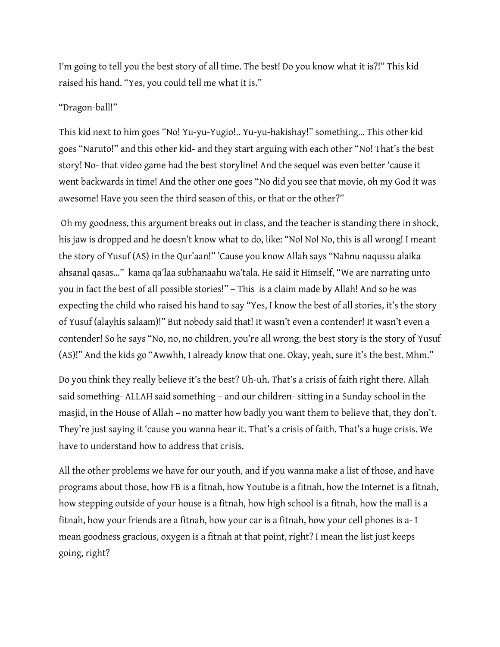I'm going to tell you the best story of all time. The best! Do you know what it is?!" This kid raised his hand. "Yes, you could tell me what it is."

## "Dragon-ball!"

This kid next to him goes "No! Yu-yu-Yugio!.. Yu-yu-hakishay!" something… This other kid goes "Naruto!" and this other kid- and they start arguing with each other "No! That's the best story! No- that video game had the best storyline! And the sequel was even better 'cause it went backwards in time! And the other one goes "No did you see that movie, oh my God it was awesome! Have you seen the third season of this, or that or the other?"

Oh my goodness, this argument breaks out in class, and the teacher is standing there in shock, his jaw is dropped and he doesn't know what to do, like: "No! No! No, this is all wrong! I meant the story of Yusuf (AS) in the Qur'aan!" 'Cause you know Allah says "Nahnu naqussu alaika ahsanal qasas…" kama qa'laa subhanaahu wa'tala. He said it Himself, "We are narrating unto you in fact the best of all possible stories!" – This is a claim made by Allah! And so he was expecting the child who raised his hand to say "Yes, I know the best of all stories, it's the story of Yusuf (alayhis salaam)!" But nobody said that! It wasn't even a contender! It wasn't even a contender! So he says "No, no, no children, you're all wrong, the best story is the story of Yusuf (AS)!" And the kids go "Awwhh, I already know that one. Okay, yeah, sure it's the best. Mhm."

Do you think they really believe it's the best? Uh-uh. That's a crisis of faith right there. Allah said something- ALLAH said something – and our children- sitting in a Sunday school in the masjid, in the House of Allah – no matter how badly you want them to believe that, they don't. They're just saying it 'cause you wanna hear it. That's a crisis of faith. That's a huge crisis. We have to understand how to address that crisis.

All the other problems we have for our youth, and if you wanna make a list of those, and have programs about those, how FB is a fitnah, how Youtube is a fitnah, how the Internet is a fitnah, how stepping outside of your house is a fitnah, how high school is a fitnah, how the mall is a fitnah, how your friends are a fitnah, how your car is a fitnah, how your cell phones is a- I mean goodness gracious, oxygen is a fitnah at that point, right? I mean the list just keeps going, right?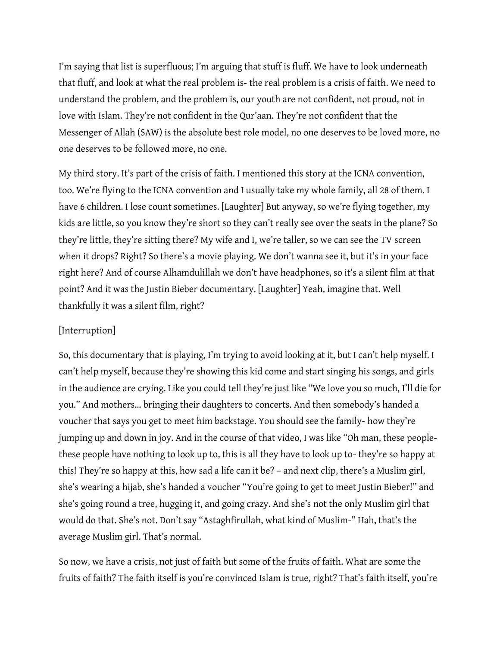I'm saying that list is superfluous; I'm arguing that stuff is fluff. We have to look underneath that fluff, and look at what the real problem is- the real problem is a crisis of faith. We need to understand the problem, and the problem is, our youth are not confident, not proud, not in love with Islam. They're not confident in the Qur'aan. They're not confident that the Messenger of Allah (SAW) is the absolute best role model, no one deserves to be loved more, no one deserves to be followed more, no one.

My third story. It's part of the crisis of faith. I mentioned this story at the ICNA convention, too. We're flying to the ICNA convention and I usually take my whole family, all 28 of them. I have 6 children. I lose count sometimes. [Laughter] But anyway, so we're flying together, my kids are little, so you know they're short so they can't really see over the seats in the plane? So they're little, they're sitting there? My wife and I, we're taller, so we can see the TV screen when it drops? Right? So there's a movie playing. We don't wanna see it, but it's in your face right here? And of course Alhamdulillah we don't have headphones, so it's a silent film at that point? And it was the Justin Bieber documentary. [Laughter] Yeah, imagine that. Well thankfully it was a silent film, right?

## [Interruption]

So, this documentary that is playing, I'm trying to avoid looking at it, but I can't help myself. I can't help myself, because they're showing this kid come and start singing his songs, and girls in the audience are crying. Like you could tell they're just like "We love you so much, I'll die for you." And mothers… bringing their daughters to concerts. And then somebody's handed a voucher that says you get to meet him backstage. You should see the family- how they're jumping up and down in joy. And in the course of that video, I was like "Oh man, these peoplethese people have nothing to look up to, this is all they have to look up to- they're so happy at this! They're so happy at this, how sad a life can it be? – and next clip, there's a Muslim girl, she's wearing a hijab, she's handed a voucher "You're going to get to meet Justin Bieber!" and she's going round a tree, hugging it, and going crazy. And she's not the only Muslim girl that would do that. She's not. Don't say "Astaghfirullah, what kind of Muslim-" Hah, that's the average Muslim girl. That's normal.

So now, we have a crisis, not just of faith but some of the fruits of faith. What are some the fruits of faith? The faith itself is you're convinced Islam is true, right? That's faith itself, you're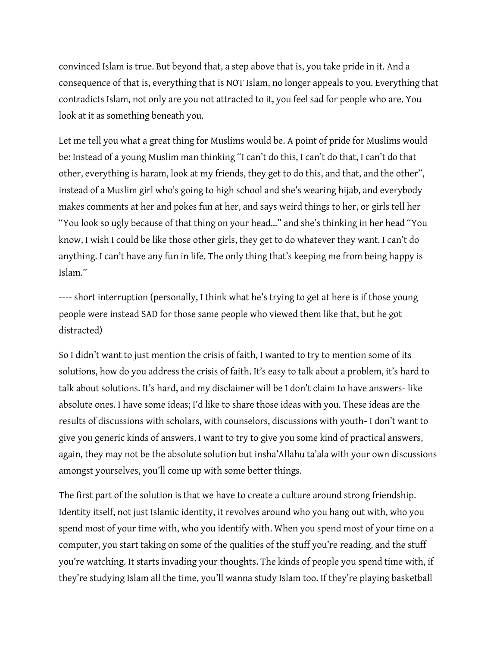convinced Islam is true. But beyond that, a step above that is, you take pride in it. And a consequence of that is, everything that is NOT Islam, no longer appeals to you. Everything that contradicts Islam, not only are you not attracted to it, you feel sad for people who are. You look at it as something beneath you.

Let me tell you what a great thing for Muslims would be. A point of pride for Muslims would be: Instead of a young Muslim man thinking "I can't do this, I can't do that, I can't do that other, everything is haram, look at my friends, they get to do this, and that, and the other", instead of a Muslim girl who's going to high school and she's wearing hijab, and everybody makes comments at her and pokes fun at her, and says weird things to her, or girls tell her "You look so ugly because of that thing on your head…" and she's thinking in her head "You know, I wish I could be like those other girls, they get to do whatever they want. I can't do anything. I can't have any fun in life. The only thing that's keeping me from being happy is Islam."

---- short interruption (personally, I think what he's trying to get at here is if those young people were instead SAD for those same people who viewed them like that, but he got distracted)

So I didn't want to just mention the crisis of faith, I wanted to try to mention some of its solutions, how do you address the crisis of faith. It's easy to talk about a problem, it's hard to talk about solutions. It's hard, and my disclaimer will be I don't claim to have answers- like absolute ones. I have some ideas; I'd like to share those ideas with you. These ideas are the results of discussions with scholars, with counselors, discussions with youth- I don't want to give you generic kinds of answers, I want to try to give you some kind of practical answers, again, they may not be the absolute solution but insha'Allahu ta'ala with your own discussions amongst yourselves, you'll come up with some better things.

The first part of the solution is that we have to create a culture around strong friendship. Identity itself, not just Islamic identity, it revolves around who you hang out with, who you spend most of your time with, who you identify with. When you spend most of your time on a computer, you start taking on some of the qualities of the stuff you're reading, and the stuff you're watching. It starts invading your thoughts. The kinds of people you spend time with, if they're studying Islam all the time, you'll wanna study Islam too. If they're playing basketball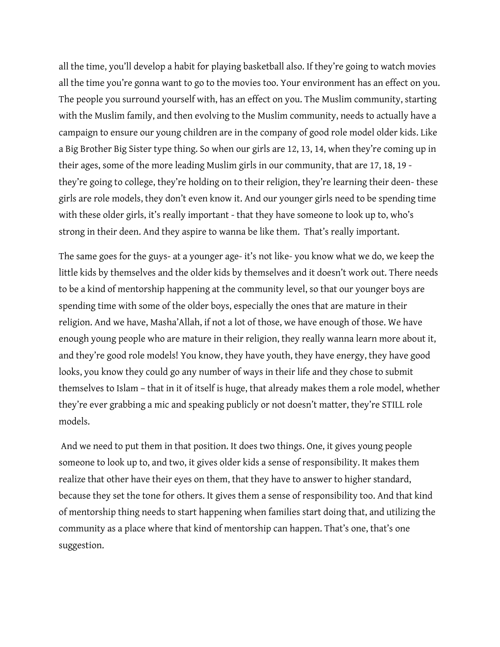all the time, you'll develop a habit for playing basketball also. If they're going to watch movies all the time you're gonna want to go to the movies too. Your environment has an effect on you. The people you surround yourself with, has an effect on you. The Muslim community, starting with the Muslim family, and then evolving to the Muslim community, needs to actually have a campaign to ensure our young children are in the company of good role model older kids. Like a Big Brother Big Sister type thing. So when our girls are 12, 13, 14, when they're coming up in their ages, some of the more leading Muslim girls in our community, that are 17, 18, 19 they're going to college, they're holding on to their religion, they're learning their deen- these girls are role models, they don't even know it. And our younger girls need to be spending time with these older girls, it's really important - that they have someone to look up to, who's strong in their deen. And they aspire to wanna be like them. That's really important.

The same goes for the guys- at a younger age- it's not like- you know what we do, we keep the little kids by themselves and the older kids by themselves and it doesn't work out. There needs to be a kind of mentorship happening at the community level, so that our younger boys are spending time with some of the older boys, especially the ones that are mature in their religion. And we have, Masha'Allah, if not a lot of those, we have enough of those. We have enough young people who are mature in their religion, they really wanna learn more about it, and they're good role models! You know, they have youth, they have energy, they have good looks, you know they could go any number of ways in their life and they chose to submit themselves to Islam – that in it of itself is huge, that already makes them a role model, whether they're ever grabbing a mic and speaking publicly or not doesn't matter, they're STILL role models.

And we need to put them in that position. It does two things. One, it gives young people someone to look up to, and two, it gives older kids a sense of responsibility. It makes them realize that other have their eyes on them, that they have to answer to higher standard, because they set the tone for others. It gives them a sense of responsibility too. And that kind of mentorship thing needs to start happening when families start doing that, and utilizing the community as a place where that kind of mentorship can happen. That's one, that's one suggestion.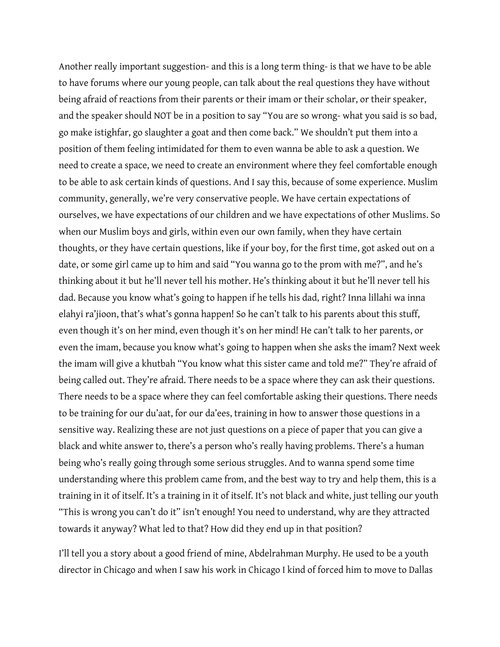Another really important suggestion- and this is a long term thing- is that we have to be able to have forums where our young people, can talk about the real questions they have without being afraid of reactions from their parents or their imam or their scholar, or their speaker, and the speaker should NOT be in a position to say "You are so wrong- what you said is so bad, go make istighfar, go slaughter a goat and then come back." We shouldn't put them into a position of them feeling intimidated for them to even wanna be able to ask a question. We need to create a space, we need to create an environment where they feel comfortable enough to be able to ask certain kinds of questions. And I say this, because of some experience. Muslim community, generally, we're very conservative people. We have certain expectations of ourselves, we have expectations of our children and we have expectations of other Muslims. So when our Muslim boys and girls, within even our own family, when they have certain thoughts, or they have certain questions, like if your boy, for the first time, got asked out on a date, or some girl came up to him and said "You wanna go to the prom with me?", and he's thinking about it but he'll never tell his mother. He's thinking about it but he'll never tell his dad. Because you know what's going to happen if he tells his dad, right? Inna lillahi wa inna elahyi ra'jioon, that's what's gonna happen! So he can't talk to his parents about this stuff, even though it's on her mind, even though it's on her mind! He can't talk to her parents, or even the imam, because you know what's going to happen when she asks the imam? Next week the imam will give a khutbah "You know what this sister came and told me?" They're afraid of being called out. They're afraid. There needs to be a space where they can ask their questions. There needs to be a space where they can feel comfortable asking their questions. There needs to be training for our du'aat, for our da'ees, training in how to answer those questions in a sensitive way. Realizing these are not just questions on a piece of paper that you can give a black and white answer to, there's a person who's really having problems. There's a human being who's really going through some serious struggles. And to wanna spend some time understanding where this problem came from, and the best way to try and help them, this is a training in it of itself. It's a training in it of itself. It's not black and white, just telling our youth "This is wrong you can't do it" isn't enough! You need to understand, why are they attracted towards it anyway? What led to that? How did they end up in that position?

I'll tell you a story about a good friend of mine, Abdelrahman Murphy. He used to be a youth director in Chicago and when I saw his work in Chicago I kind of forced him to move to Dallas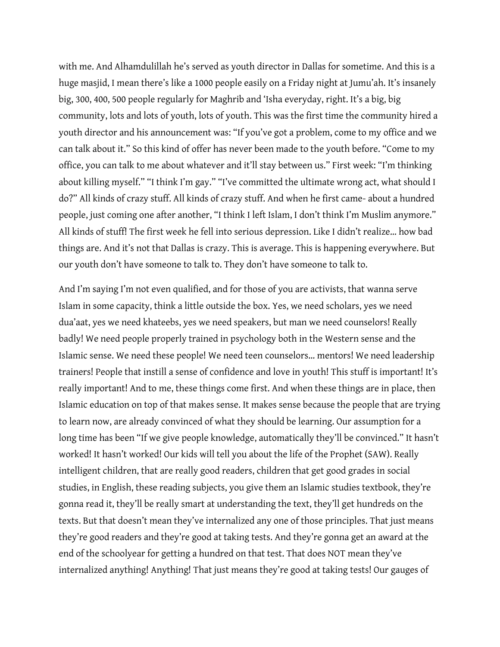with me. And Alhamdulillah he's served as youth director in Dallas for sometime. And this is a huge masjid, I mean there's like a 1000 people easily on a Friday night at Jumu'ah. It's insanely big, 300, 400, 500 people regularly for Maghrib and 'Isha everyday, right. It's a big, big community, lots and lots of youth, lots of youth. This was the first time the community hired a youth director and his announcement was: "If you've got a problem, come to my office and we can talk about it." So this kind of offer has never been made to the youth before. "Come to my office, you can talk to me about whatever and it'll stay between us." First week: "I'm thinking about killing myself." "I think I'm gay." "I've committed the ultimate wrong act, what should I do?" All kinds of crazy stuff. All kinds of crazy stuff. And when he first came- about a hundred people, just coming one after another, "I think I left Islam, I don't think I'm Muslim anymore." All kinds of stuff! The first week he fell into serious depression. Like I didn't realize… how bad things are. And it's not that Dallas is crazy. This is average. This is happening everywhere. But our youth don't have someone to talk to. They don't have someone to talk to.

And I'm saying I'm not even qualified, and for those of you are activists, that wanna serve Islam in some capacity, think a little outside the box. Yes, we need scholars, yes we need dua'aat, yes we need khateebs, yes we need speakers, but man we need counselors! Really badly! We need people properly trained in psychology both in the Western sense and the Islamic sense. We need these people! We need teen counselors… mentors! We need leadership trainers! People that instill a sense of confidence and love in youth! This stuff is important! It's really important! And to me, these things come first. And when these things are in place, then Islamic education on top of that makes sense. It makes sense because the people that are trying to learn now, are already convinced of what they should be learning. Our assumption for a long time has been "If we give people knowledge, automatically they'll be convinced." It hasn't worked! It hasn't worked! Our kids will tell you about the life of the Prophet (SAW). Really intelligent children, that are really good readers, children that get good grades in social studies, in English, these reading subjects, you give them an Islamic studies textbook, they're gonna read it, they'll be really smart at understanding the text, they'll get hundreds on the texts. But that doesn't mean they've internalized any one of those principles. That just means they're good readers and they're good at taking tests. And they're gonna get an award at the end of the schoolyear for getting a hundred on that test. That does NOT mean they've internalized anything! Anything! That just means they're good at taking tests! Our gauges of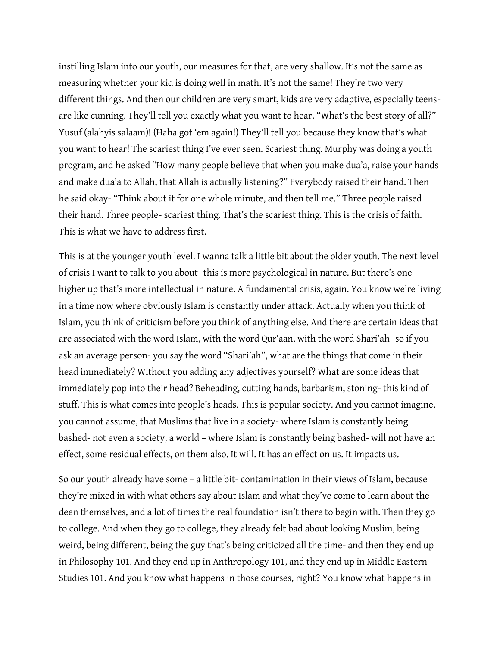instilling Islam into our youth, our measures for that, are very shallow. It's not the same as measuring whether your kid is doing well in math. It's not the same! They're two very different things. And then our children are very smart, kids are very adaptive, especially teensare like cunning. They'll tell you exactly what you want to hear. "What's the best story of all?" Yusuf (alahyis salaam)! (Haha got 'em again!) They'll tell you because they know that's what you want to hear! The scariest thing I've ever seen. Scariest thing. Murphy was doing a youth program, and he asked "How many people believe that when you make dua'a, raise your hands and make dua'a to Allah, that Allah is actually listening?" Everybody raised their hand. Then he said okay- "Think about it for one whole minute, and then tell me." Three people raised their hand. Three people- scariest thing. That's the scariest thing. This is the crisis of faith. This is what we have to address first.

This is at the younger youth level. I wanna talk a little bit about the older youth. The next level of crisis I want to talk to you about- this is more psychological in nature. But there's one higher up that's more intellectual in nature. A fundamental crisis, again. You know we're living in a time now where obviously Islam is constantly under attack. Actually when you think of Islam, you think of criticism before you think of anything else. And there are certain ideas that are associated with the word Islam, with the word Qur'aan, with the word Shari'ah- so if you ask an average person- you say the word "Shari'ah", what are the things that come in their head immediately? Without you adding any adjectives yourself? What are some ideas that immediately pop into their head? Beheading, cutting hands, barbarism, stoning- this kind of stuff. This is what comes into people's heads. This is popular society. And you cannot imagine, you cannot assume, that Muslims that live in a society- where Islam is constantly being bashed- not even a society, a world – where Islam is constantly being bashed- will not have an effect, some residual effects, on them also. It will. It has an effect on us. It impacts us.

So our youth already have some – a little bit- contamination in their views of Islam, because they're mixed in with what others say about Islam and what they've come to learn about the deen themselves, and a lot of times the real foundation isn't there to begin with. Then they go to college. And when they go to college, they already felt bad about looking Muslim, being weird, being different, being the guy that's being criticized all the time- and then they end up in Philosophy 101. And they end up in Anthropology 101, and they end up in Middle Eastern Studies 101. And you know what happens in those courses, right? You know what happens in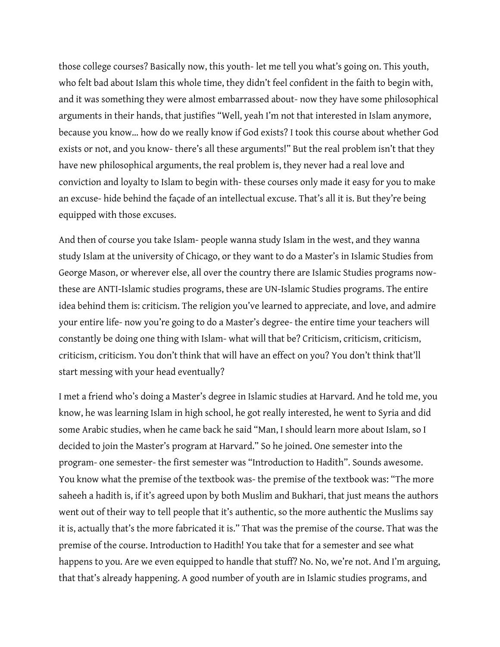those college courses? Basically now, this youth- let me tell you what's going on. This youth, who felt bad about Islam this whole time, they didn't feel confident in the faith to begin with, and it was something they were almost embarrassed about- now they have some philosophical arguments in their hands, that justifies "Well, yeah I'm not that interested in Islam anymore, because you know… how do we really know if God exists? I took this course about whether God exists or not, and you know- there's all these arguments!" But the real problem isn't that they have new philosophical arguments, the real problem is, they never had a real love and conviction and loyalty to Islam to begin with- these courses only made it easy for you to make an excuse- hide behind the façade of an intellectual excuse. That's all it is. But they're being equipped with those excuses.

And then of course you take Islam- people wanna study Islam in the west, and they wanna study Islam at the university of Chicago, or they want to do a Master's in Islamic Studies from George Mason, or wherever else, all over the country there are Islamic Studies programs nowthese are ANTI-Islamic studies programs, these are UN-Islamic Studies programs. The entire idea behind them is: criticism. The religion you've learned to appreciate, and love, and admire your entire life- now you're going to do a Master's degree- the entire time your teachers will constantly be doing one thing with Islam- what will that be? Criticism, criticism, criticism, criticism, criticism. You don't think that will have an effect on you? You don't think that'll start messing with your head eventually?

I met a friend who's doing a Master's degree in Islamic studies at Harvard. And he told me, you know, he was learning Islam in high school, he got really interested, he went to Syria and did some Arabic studies, when he came back he said "Man, I should learn more about Islam, so I decided to join the Master's program at Harvard." So he joined. One semester into the program- one semester- the first semester was "Introduction to Hadith". Sounds awesome. You know what the premise of the textbook was- the premise of the textbook was: "The more saheeh a hadith is, if it's agreed upon by both Muslim and Bukhari, that just means the authors went out of their way to tell people that it's authentic, so the more authentic the Muslims say it is, actually that's the more fabricated it is." That was the premise of the course. That was the premise of the course. Introduction to Hadith! You take that for a semester and see what happens to you. Are we even equipped to handle that stuff? No. No, we're not. And I'm arguing, that that's already happening. A good number of youth are in Islamic studies programs, and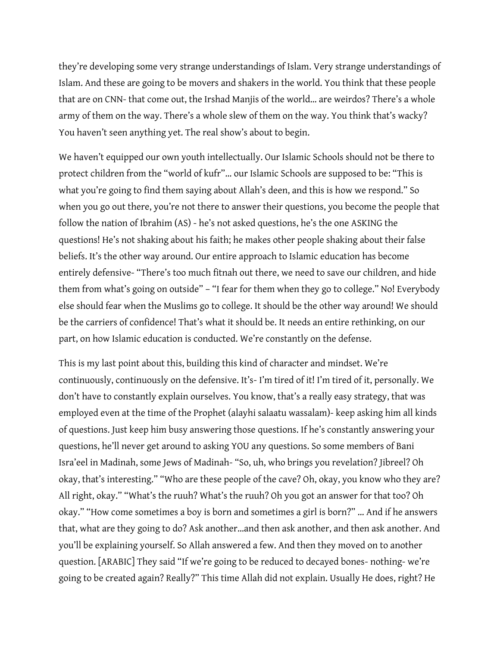they're developing some very strange understandings of Islam. Very strange understandings of Islam. And these are going to be movers and shakers in the world. You think that these people that are on CNN- that come out, the Irshad Manjis of the world… are weirdos? There's a whole army of them on the way. There's a whole slew of them on the way. You think that's wacky? You haven't seen anything yet. The real show's about to begin.

We haven't equipped our own youth intellectually. Our Islamic Schools should not be there to protect children from the "world of kufr"… our Islamic Schools are supposed to be: "This is what you're going to find them saying about Allah's deen, and this is how we respond." So when you go out there, you're not there to answer their questions, you become the people that follow the nation of Ibrahim (AS) - he's not asked questions, he's the one ASKING the questions! He's not shaking about his faith; he makes other people shaking about their false beliefs. It's the other way around. Our entire approach to Islamic education has become entirely defensive- "There's too much fitnah out there, we need to save our children, and hide them from what's going on outside" – "I fear for them when they go to college." No! Everybody else should fear when the Muslims go to college. It should be the other way around! We should be the carriers of confidence! That's what it should be. It needs an entire rethinking, on our part, on how Islamic education is conducted. We're constantly on the defense.

This is my last point about this, building this kind of character and mindset. We're continuously, continuously on the defensive. It's- I'm tired of it! I'm tired of it, personally. We don't have to constantly explain ourselves. You know, that's a really easy strategy, that was employed even at the time of the Prophet (alayhi salaatu wassalam)- keep asking him all kinds of questions. Just keep him busy answering those questions. If he's constantly answering your questions, he'll never get around to asking YOU any questions. So some members of Bani Isra'eel in Madinah, some Jews of Madinah- "So, uh, who brings you revelation? Jibreel? Oh okay, that's interesting." "Who are these people of the cave? Oh, okay, you know who they are? All right, okay." "What's the ruuh? What's the ruuh? Oh you got an answer for that too? Oh okay." "How come sometimes a boy is born and sometimes a girl is born?" … And if he answers that, what are they going to do? Ask another…and then ask another, and then ask another. And you'll be explaining yourself. So Allah answered a few. And then they moved on to another question. [ARABIC] They said "If we're going to be reduced to decayed bones- nothing- we're going to be created again? Really?" This time Allah did not explain. Usually He does, right? He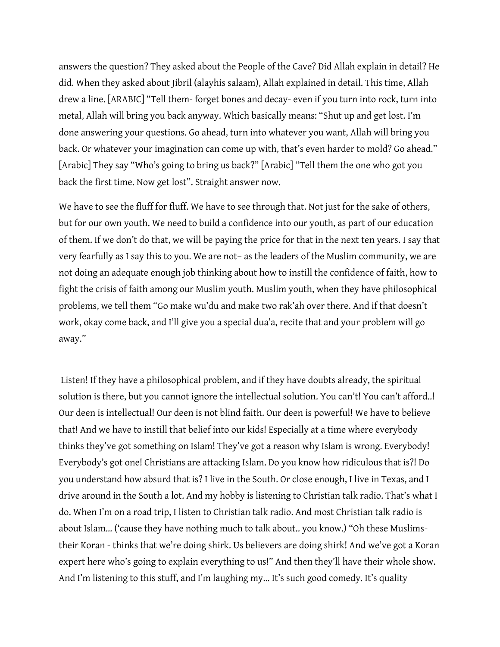answers the question? They asked about the People of the Cave? Did Allah explain in detail? He did. When they asked about Jibril (alayhis salaam), Allah explained in detail. This time, Allah drew a line. [ARABIC] "Tell them- forget bones and decay- even if you turn into rock, turn into metal, Allah will bring you back anyway. Which basically means: "Shut up and get lost. I'm done answering your questions. Go ahead, turn into whatever you want, Allah will bring you back. Or whatever your imagination can come up with, that's even harder to mold? Go ahead." [Arabic] They say "Who's going to bring us back?" [Arabic] "Tell them the one who got you back the first time. Now get lost". Straight answer now.

We have to see the fluff for fluff. We have to see through that. Not just for the sake of others, but for our own youth. We need to build a confidence into our youth, as part of our education of them. If we don't do that, we will be paying the price for that in the next ten years. I say that very fearfully as I say this to you. We are not– as the leaders of the Muslim community, we are not doing an adequate enough job thinking about how to instill the confidence of faith, how to fight the crisis of faith among our Muslim youth. Muslim youth, when they have philosophical problems, we tell them "Go make wu'du and make two rak'ah over there. And if that doesn't work, okay come back, and I'll give you a special dua'a, recite that and your problem will go away."

Listen! If they have a philosophical problem, and if they have doubts already, the spiritual solution is there, but you cannot ignore the intellectual solution. You can't! You can't afford..! Our deen is intellectual! Our deen is not blind faith. Our deen is powerful! We have to believe that! And we have to instill that belief into our kids! Especially at a time where everybody thinks they've got something on Islam! They've got a reason why Islam is wrong. Everybody! Everybody's got one! Christians are attacking Islam. Do you know how ridiculous that is?! Do you understand how absurd that is? I live in the South. Or close enough, I live in Texas, and I drive around in the South a lot. And my hobby is listening to Christian talk radio. That's what I do. When I'm on a road trip, I listen to Christian talk radio. And most Christian talk radio is about Islam… ('cause they have nothing much to talk about.. you know.) "Oh these Muslimstheir Koran - thinks that we're doing shirk. Us believers are doing shirk! And we've got a Koran expert here who's going to explain everything to us!" And then they'll have their whole show. And I'm listening to this stuff, and I'm laughing my… It's such good comedy. It's quality